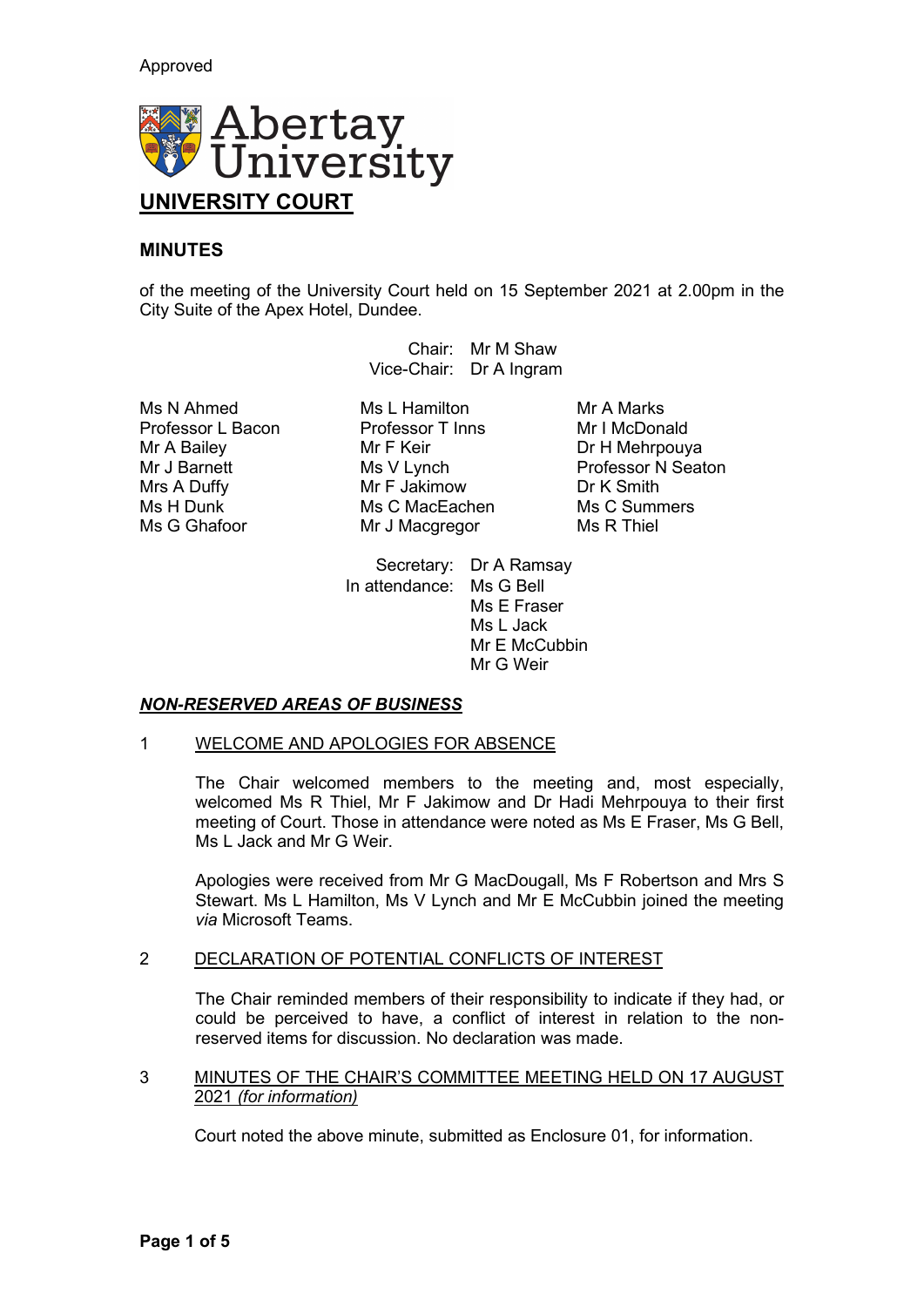

# **MINUTES**

of the meeting of the University Court held on 15 September 2021 at 2.00pm in the City Suite of the Apex Hotel, Dundee.

> Chair: Mr M Shaw Vice-Chair: Dr A Ingram

Ms N Ahmed Ms L Hamilton Mr A Marks<br>Professor L Bacon Professor T Inns Mr I McDonald Professor L Bacon Professor<br>
Mr A Bailey Mr F Keir

Mr A Bailey Mr F Keir Dr H Mehrpouya Mrs A Duffy Mr F Jakimow Dr K Smith Ms H Dunk Ms C MacEachen Ms C Summers Ms C Summers Ms C Summers Ms C Summers Ms C Summers Ms C Summers Ms C Summers Ms C Summers Ms C Summers Ms C Summers Ms C Summers Ms C Summers Ms C Summers Ms C Summers Ms C Summers Ms Mr J Macgregor

Mr J Barnett Ms V Lynch Professor N Seaton<br>
Mr S A Duffy Mr F Jakimow<br>
Mr F Jakimow<br>
Mr Smith

Secretary: Dr A Ramsay In attendance: Ms G Bell Ms E Fraser Ms L Jack Mr E McCubbin Mr G Weir

## *NON-RESERVED AREAS OF BUSINESS*

### 1 WELCOME AND APOLOGIES FOR ABSENCE

The Chair welcomed members to the meeting and, most especially, welcomed Ms R Thiel, Mr F Jakimow and Dr Hadi Mehrpouya to their first meeting of Court. Those in attendance were noted as Ms E Fraser, Ms G Bell, Ms L Jack and Mr G Weir.

Apologies were received from Mr G MacDougall, Ms F Robertson and Mrs S Stewart. Ms L Hamilton, Ms V Lynch and Mr E McCubbin joined the meeting *via* Microsoft Teams.

## 2 DECLARATION OF POTENTIAL CONFLICTS OF INTEREST

The Chair reminded members of their responsibility to indicate if they had, or could be perceived to have, a conflict of interest in relation to the nonreserved items for discussion. No declaration was made.

### 3 MINUTES OF THE CHAIR'S COMMITTEE MEETING HELD ON 17 AUGUST 2021 *(for information)*

Court noted the above minute, submitted as Enclosure 01, for information.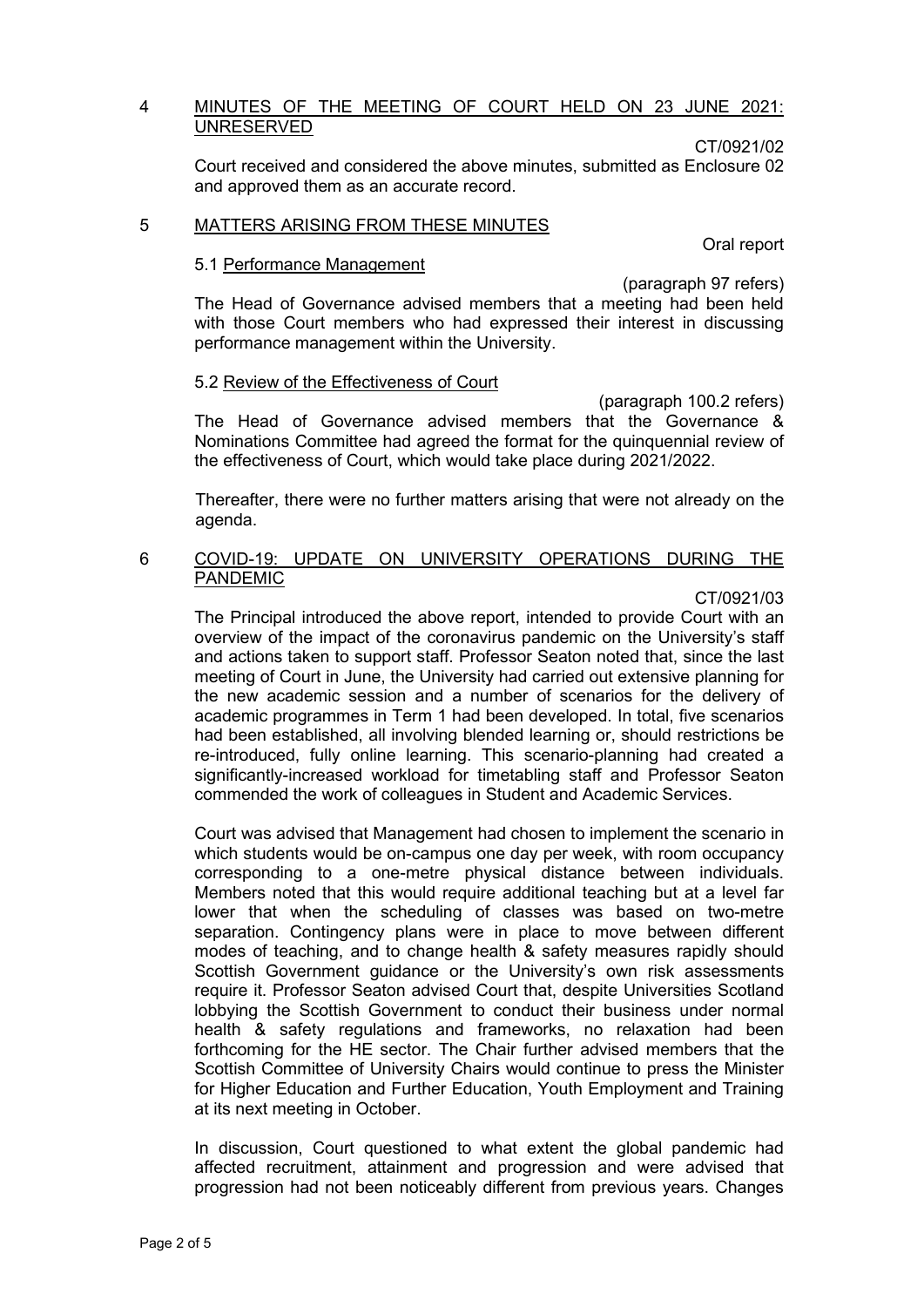### 4 MINUTES OF THE MEETING OF COURT HELD ON 23 JUNE 2021: UNRESERVED

CT/0921/02

Court received and considered the above minutes, submitted as Enclosure 02 and approved them as an accurate record.

#### 5 MATTERS ARISING FROM THESE MINUTES

Oral report

# 5.1 Performance Management

(paragraph 97 refers)

The Head of Governance advised members that a meeting had been held with those Court members who had expressed their interest in discussing performance management within the University.

### 5.2 Review of the Effectiveness of Court

(paragraph 100.2 refers) The Head of Governance advised members that the Governance & Nominations Committee had agreed the format for the quinquennial review of the effectiveness of Court, which would take place during 2021/2022.

Thereafter, there were no further matters arising that were not already on the agenda.

## 6 COVID-19: UPDATE ON UNIVERSITY OPERATIONS DURING THE **PANDEMIC**

#### CT/0921/03

The Principal introduced the above report, intended to provide Court with an overview of the impact of the coronavirus pandemic on the University's staff and actions taken to support staff. Professor Seaton noted that, since the last meeting of Court in June, the University had carried out extensive planning for the new academic session and a number of scenarios for the delivery of academic programmes in Term 1 had been developed. In total, five scenarios had been established, all involving blended learning or, should restrictions be re-introduced, fully online learning. This scenario-planning had created a significantly-increased workload for timetabling staff and Professor Seaton commended the work of colleagues in Student and Academic Services.

Court was advised that Management had chosen to implement the scenario in which students would be on-campus one day per week, with room occupancy corresponding to a one-metre physical distance between individuals. Members noted that this would require additional teaching but at a level far lower that when the scheduling of classes was based on two-metre separation. Contingency plans were in place to move between different modes of teaching, and to change health & safety measures rapidly should Scottish Government guidance or the University's own risk assessments require it. Professor Seaton advised Court that, despite Universities Scotland lobbying the Scottish Government to conduct their business under normal health & safety regulations and frameworks, no relaxation had been forthcoming for the HE sector. The Chair further advised members that the Scottish Committee of University Chairs would continue to press the Minister for Higher Education and Further Education, Youth Employment and Training at its next meeting in October.

In discussion, Court questioned to what extent the global pandemic had affected recruitment, attainment and progression and were advised that progression had not been noticeably different from previous years. Changes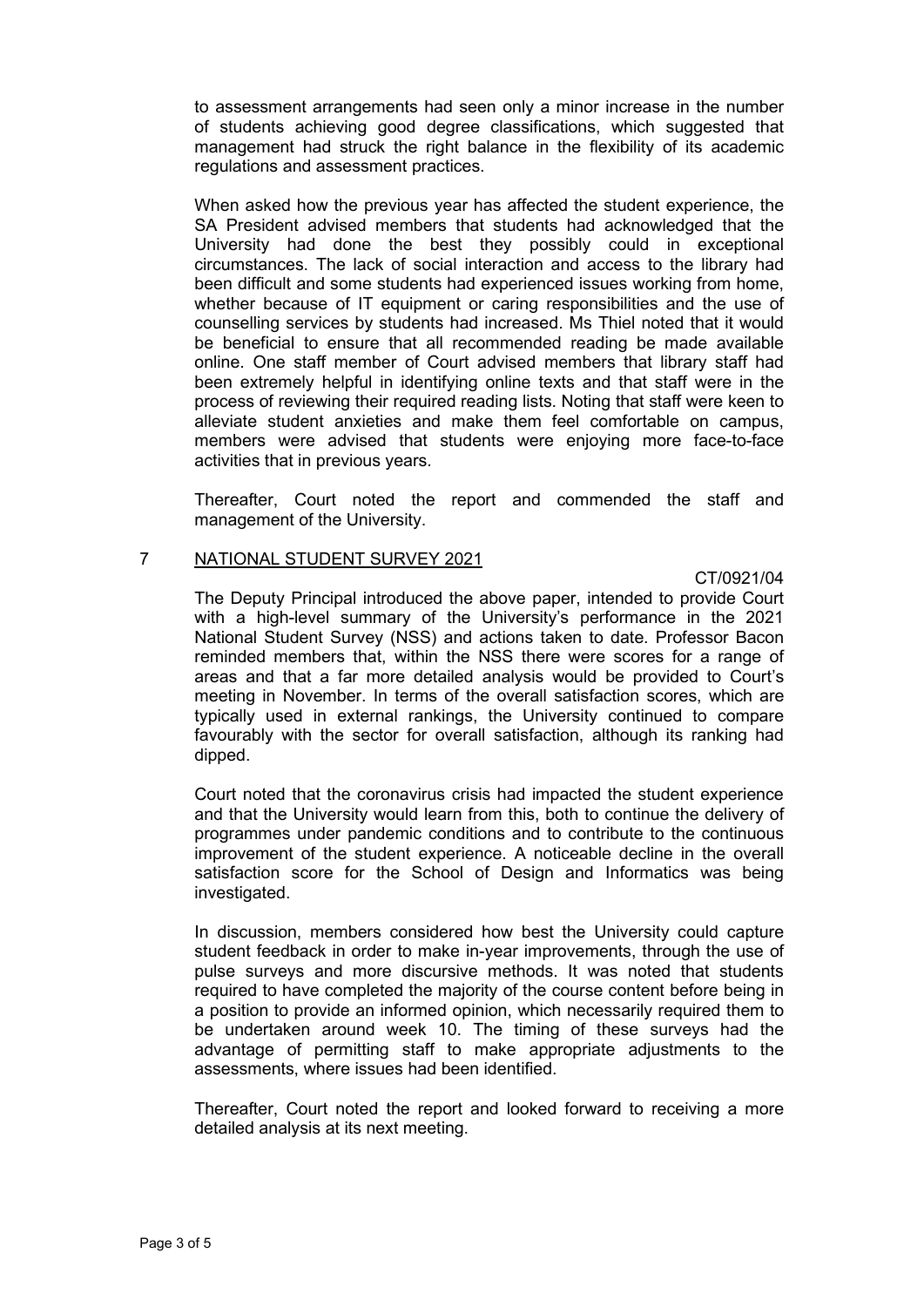to assessment arrangements had seen only a minor increase in the number of students achieving good degree classifications, which suggested that management had struck the right balance in the flexibility of its academic regulations and assessment practices.

When asked how the previous year has affected the student experience, the SA President advised members that students had acknowledged that the University had done the best they possibly could in exceptional circumstances. The lack of social interaction and access to the library had been difficult and some students had experienced issues working from home, whether because of IT equipment or caring responsibilities and the use of counselling services by students had increased. Ms Thiel noted that it would be beneficial to ensure that all recommended reading be made available online. One staff member of Court advised members that library staff had been extremely helpful in identifying online texts and that staff were in the process of reviewing their required reading lists. Noting that staff were keen to alleviate student anxieties and make them feel comfortable on campus, members were advised that students were enjoying more face-to-face activities that in previous years.

Thereafter, Court noted the report and commended the staff and management of the University.

### 7 NATIONAL STUDENT SURVEY 2021

CT/0921/04

The Deputy Principal introduced the above paper, intended to provide Court with a high-level summary of the University's performance in the 2021 National Student Survey (NSS) and actions taken to date. Professor Bacon reminded members that, within the NSS there were scores for a range of areas and that a far more detailed analysis would be provided to Court's meeting in November. In terms of the overall satisfaction scores, which are typically used in external rankings, the University continued to compare favourably with the sector for overall satisfaction, although its ranking had dipped.

Court noted that the coronavirus crisis had impacted the student experience and that the University would learn from this, both to continue the delivery of programmes under pandemic conditions and to contribute to the continuous improvement of the student experience. A noticeable decline in the overall satisfaction score for the School of Design and Informatics was being investigated.

In discussion, members considered how best the University could capture student feedback in order to make in-year improvements, through the use of pulse surveys and more discursive methods. It was noted that students required to have completed the majority of the course content before being in a position to provide an informed opinion, which necessarily required them to be undertaken around week 10. The timing of these surveys had the advantage of permitting staff to make appropriate adjustments to the assessments, where issues had been identified.

Thereafter, Court noted the report and looked forward to receiving a more detailed analysis at its next meeting.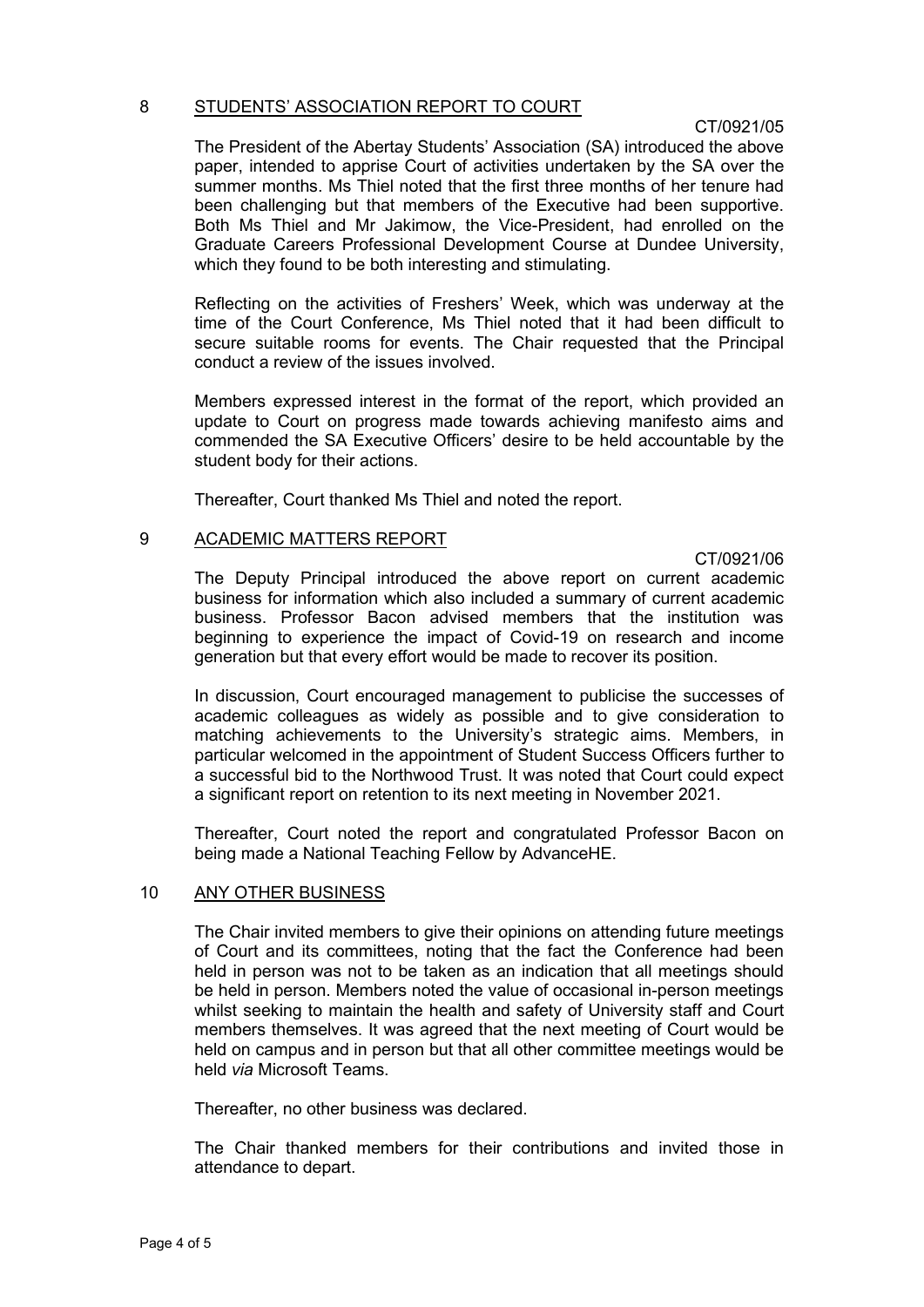#### 8 STUDENTS' ASSOCIATION REPORT TO COURT

### CT/0921/05

The President of the Abertay Students' Association (SA) introduced the above paper, intended to apprise Court of activities undertaken by the SA over the summer months. Ms Thiel noted that the first three months of her tenure had been challenging but that members of the Executive had been supportive. Both Ms Thiel and Mr Jakimow, the Vice-President, had enrolled on the Graduate Careers Professional Development Course at Dundee University, which they found to be both interesting and stimulating.

Reflecting on the activities of Freshers' Week, which was underway at the time of the Court Conference, Ms Thiel noted that it had been difficult to secure suitable rooms for events. The Chair requested that the Principal conduct a review of the issues involved.

Members expressed interest in the format of the report, which provided an update to Court on progress made towards achieving manifesto aims and commended the SA Executive Officers' desire to be held accountable by the student body for their actions.

Thereafter, Court thanked Ms Thiel and noted the report.

### 9 ACADEMIC MATTERS REPORT

CT/0921/06

The Deputy Principal introduced the above report on current academic business for information which also included a summary of current academic business. Professor Bacon advised members that the institution was beginning to experience the impact of Covid-19 on research and income generation but that every effort would be made to recover its position.

In discussion, Court encouraged management to publicise the successes of academic colleagues as widely as possible and to give consideration to matching achievements to the University's strategic aims. Members, in particular welcomed in the appointment of Student Success Officers further to a successful bid to the Northwood Trust. It was noted that Court could expect a significant report on retention to its next meeting in November 2021.

Thereafter, Court noted the report and congratulated Professor Bacon on being made a National Teaching Fellow by AdvanceHE.

## 10 ANY OTHER BUSINESS

The Chair invited members to give their opinions on attending future meetings of Court and its committees, noting that the fact the Conference had been held in person was not to be taken as an indication that all meetings should be held in person. Members noted the value of occasional in-person meetings whilst seeking to maintain the health and safety of University staff and Court members themselves. It was agreed that the next meeting of Court would be held on campus and in person but that all other committee meetings would be held *via* Microsoft Teams.

Thereafter, no other business was declared.

The Chair thanked members for their contributions and invited those in attendance to depart.